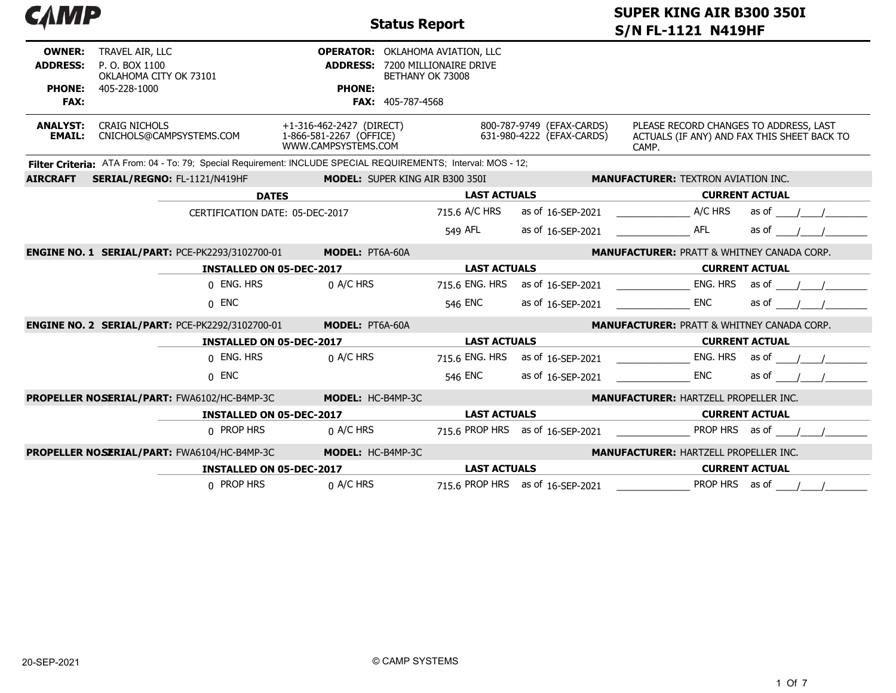| САМР                                                             |                                                                                                                |                                                                            | <b>Status Report</b>                                                                                       | <b>SUPER KING AIR B300 350I</b><br><b>S/N FL-1121 N419HF</b> |                                                                                                |                       |  |  |
|------------------------------------------------------------------|----------------------------------------------------------------------------------------------------------------|----------------------------------------------------------------------------|------------------------------------------------------------------------------------------------------------|--------------------------------------------------------------|------------------------------------------------------------------------------------------------|-----------------------|--|--|
| <b>OWNER:</b><br><b>ADDRESS:</b><br><b>PHONE:</b><br><b>FAX:</b> | TRAVEL AIR, LLC<br>P. O. BOX 1100<br>OKLAHOMA CITY OK 73101<br>405-228-1000                                    | <b>ADDRESS:</b><br><b>PHONE:</b>                                           | <b>OPERATOR:</b> OKLAHOMA AVIATION, LLC<br>7200 MILLIONAIRE DRIVE<br>BETHANY OK 73008<br>FAX: 405-787-4568 |                                                              |                                                                                                |                       |  |  |
| <b>ANALYST:</b><br><b>EMAIL:</b>                                 | <b>CRAIG NICHOLS</b><br>CNICHOLS@CAMPSYSTEMS.COM                                                               | +1-316-462-2427 (DIRECT)<br>1-866-581-2267 (OFFICE)<br>WWW.CAMPSYSTEMS.COM |                                                                                                            | 800-787-9749 (EFAX-CARDS)<br>631-980-4222 (EFAX-CARDS)       | PLEASE RECORD CHANGES TO ADDRESS, LAST<br>ACTUALS (IF ANY) AND FAX THIS SHEET BACK TO<br>CAMP. |                       |  |  |
|                                                                  | Filter Criteria: ATA From: 04 - To: 79; Special Requirement: INCLUDE SPECIAL REQUIREMENTS; Interval: MOS - 12; |                                                                            |                                                                                                            |                                                              |                                                                                                |                       |  |  |
| <b>AIRCRAFT</b>                                                  | SERIAL/REGNO: FL-1121/N419HF                                                                                   |                                                                            | <b>MODEL: SUPER KING AIR B300 350I</b>                                                                     |                                                              | <b>MANUFACTURER: TEXTRON AVIATION INC.</b>                                                     |                       |  |  |
|                                                                  |                                                                                                                | <b>DATES</b>                                                               | <b>LAST ACTUALS</b>                                                                                        |                                                              | <b>CURRENT ACTUAL</b>                                                                          |                       |  |  |
|                                                                  |                                                                                                                | CERTIFICATION DATE: 05-DEC-2017                                            | 715.6 A/C HRS                                                                                              | as of 16-SEP-2021                                            | A/C HRS                                                                                        | as of                 |  |  |
|                                                                  |                                                                                                                |                                                                            | 549 AFL                                                                                                    | as of 16-SEP-2021                                            | <b>AFL</b>                                                                                     | as of                 |  |  |
|                                                                  | <b>ENGINE NO. 1 SERIAL/PART: PCE-PK2293/3102700-01</b>                                                         | <b>MODEL: PT6A-60A</b>                                                     |                                                                                                            |                                                              | <b>MANUFACTURER: PRATT &amp; WHITNEY CANADA CORP.</b>                                          |                       |  |  |
|                                                                  |                                                                                                                | <b>INSTALLED ON 05-DEC-2017</b>                                            | <b>LAST ACTUALS</b>                                                                                        |                                                              |                                                                                                | <b>CURRENT ACTUAL</b> |  |  |
|                                                                  | 0 ENG. HRS                                                                                                     | 0 A/C HRS                                                                  | 715.6 ENG. HRS                                                                                             | as of 16-SEP-2021                                            | ENG. HRS                                                                                       | as of                 |  |  |
|                                                                  | $0$ ENC                                                                                                        |                                                                            | 546 ENC                                                                                                    | as of 16-SEP-2021                                            | <b>ENC</b>                                                                                     | as of                 |  |  |
|                                                                  | <b>ENGINE NO. 2 SERIAL/PART: PCE-PK2292/3102700-01</b>                                                         | MODEL: PT6A-60A                                                            |                                                                                                            |                                                              | <b>MANUFACTURER: PRATT &amp; WHITNEY CANADA CORP.</b>                                          |                       |  |  |
|                                                                  |                                                                                                                | <b>INSTALLED ON 05-DEC-2017</b>                                            | <b>LAST ACTUALS</b>                                                                                        |                                                              |                                                                                                | <b>CURRENT ACTUAL</b> |  |  |
|                                                                  | 0 ENG. HRS                                                                                                     | 0 A/C HRS                                                                  | 715.6 ENG. HRS                                                                                             | as of 16-SEP-2021                                            | ENG. HRS                                                                                       | as of                 |  |  |
|                                                                  | $0$ ENC                                                                                                        |                                                                            | 546 ENC                                                                                                    | as of 16-SEP-2021                                            | <b>ENC</b>                                                                                     | as of                 |  |  |
|                                                                  | PROPELLER NOSERIAL/PART: FWA6102/HC-B4MP-3C                                                                    | MODEL: HC-B4MP-3C                                                          |                                                                                                            |                                                              | <b>MANUFACTURER: HARTZELL PROPELLER INC.</b>                                                   |                       |  |  |
|                                                                  |                                                                                                                | <b>INSTALLED ON 05-DEC-2017</b>                                            | <b>LAST ACTUALS</b>                                                                                        |                                                              |                                                                                                | <b>CURRENT ACTUAL</b> |  |  |
|                                                                  | 0 PROP HRS                                                                                                     | 0 A/C HRS                                                                  |                                                                                                            | 715.6 PROP HRS as of 16-SEP-2021                             | PROP HRS as of                                                                                 |                       |  |  |
|                                                                  | PROPELLER NOSERIAL/PART: FWA6104/HC-B4MP-3C                                                                    | MODEL: HC-B4MP-3C                                                          |                                                                                                            |                                                              | <b>MANUFACTURER: HARTZELL PROPELLER INC.</b>                                                   |                       |  |  |
|                                                                  |                                                                                                                | <b>INSTALLED ON 05-DEC-2017</b>                                            | <b>LAST ACTUALS</b>                                                                                        |                                                              |                                                                                                | <b>CURRENT ACTUAL</b> |  |  |
|                                                                  | 0 PROP HRS                                                                                                     | 0 A/C HRS                                                                  |                                                                                                            | 715.6 PROP HRS as of 16-SEP-2021                             | PROP HRS as of                                                                                 |                       |  |  |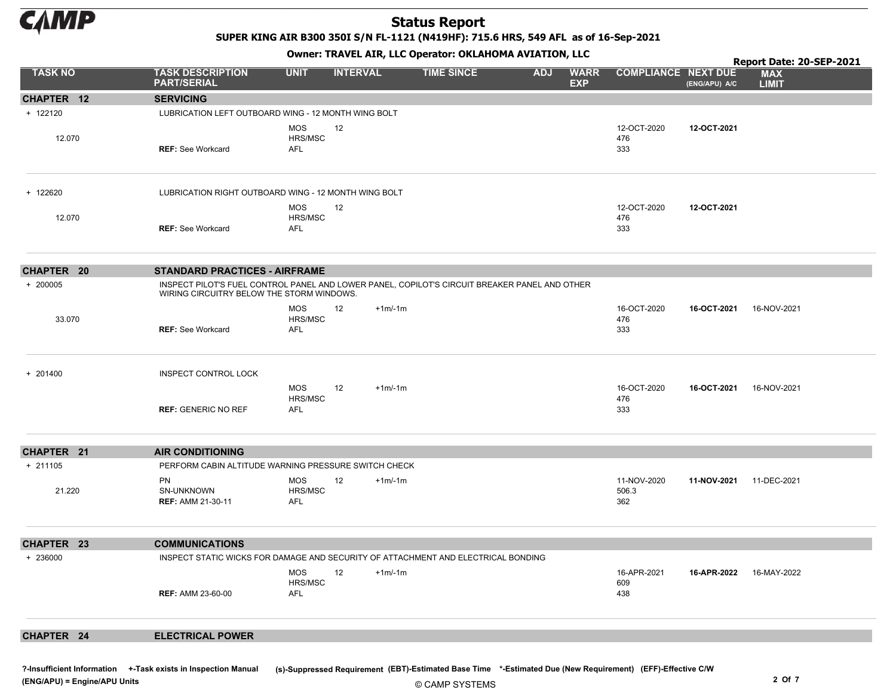

SUPER KING AIR B300 350I S/N FL-1121 (N419HF): 715.6 HRS, 549 AFL as of 16-Sep-2021

Owner: TRAVEL AIR, LLC Operator: OKLAHOMA AVIATION, LLC

|                   |                                                                                                                                            |                                            |                 |          | <u> enner nout--rany --e eperatori ensimerminentis</u> |            | -, ---                    |                             |               | Report Date: 20-SEP-2021   |
|-------------------|--------------------------------------------------------------------------------------------------------------------------------------------|--------------------------------------------|-----------------|----------|--------------------------------------------------------|------------|---------------------------|-----------------------------|---------------|----------------------------|
| <b>TASK NO</b>    | <b>TASK DESCRIPTION</b><br><b>PART/SERIAL</b>                                                                                              | <b>UNIT</b>                                | <b>INTERVAL</b> |          | <b>TIME SINCE</b>                                      | <b>ADJ</b> | <b>WARR</b><br><b>EXP</b> | <b>COMPLIANCE NEXT DUE</b>  | (ENG/APU) A/C | <b>MAX</b><br><b>LIMIT</b> |
| CHAPTER 12        | <b>SERVICING</b>                                                                                                                           |                                            |                 |          |                                                        |            |                           |                             |               |                            |
| + 122120          | LUBRICATION LEFT OUTBOARD WING - 12 MONTH WING BOLT                                                                                        |                                            |                 |          |                                                        |            |                           |                             |               |                            |
| 12.070            | <b>REF: See Workcard</b>                                                                                                                   | <b>MOS</b><br>HRS/MSC<br><b>AFL</b>        | 12              |          |                                                        |            |                           | 12-OCT-2020<br>476<br>333   | 12-OCT-2021   |                            |
| + 122620          | LUBRICATION RIGHT OUTBOARD WING - 12 MONTH WING BOLT                                                                                       |                                            |                 |          |                                                        |            |                           |                             |               |                            |
| 12.070            | <b>REF: See Workcard</b>                                                                                                                   | <b>MOS</b><br>HRS/MSC<br><b>AFL</b>        | 12              |          |                                                        |            |                           | 12-OCT-2020<br>476<br>333   | 12-OCT-2021   |                            |
| <b>CHAPTER 20</b> | <b>STANDARD PRACTICES - AIRFRAME</b>                                                                                                       |                                            |                 |          |                                                        |            |                           |                             |               |                            |
| + 200005          | INSPECT PILOT'S FUEL CONTROL PANEL AND LOWER PANEL, COPILOT'S CIRCUIT BREAKER PANEL AND OTHER<br>WIRING CIRCUITRY BELOW THE STORM WINDOWS. |                                            |                 |          |                                                        |            |                           |                             |               |                            |
| 33.070            | <b>REF: See Workcard</b>                                                                                                                   | MOS<br>HRS/MSC<br><b>AFL</b>               | 12              | $+1m/1m$ |                                                        |            |                           | 16-OCT-2020<br>476<br>333   | 16-OCT-2021   | 16-NOV-2021                |
| + 201400          | <b>INSPECT CONTROL LOCK</b>                                                                                                                |                                            |                 |          |                                                        |            |                           |                             |               |                            |
|                   | <b>REF: GENERIC NO REF</b>                                                                                                                 | <b>MOS</b><br><b>HRS/MSC</b><br><b>AFL</b> | 12              | $+1m/1m$ |                                                        |            |                           | 16-OCT-2020<br>476<br>333   | 16-OCT-2021   | 16-NOV-2021                |
| CHAPTER 21        | <b>AIR CONDITIONING</b>                                                                                                                    |                                            |                 |          |                                                        |            |                           |                             |               |                            |
| + 211105          | PERFORM CABIN ALTITUDE WARNING PRESSURE SWITCH CHECK                                                                                       |                                            |                 |          |                                                        |            |                           |                             |               |                            |
| 21.220            | <b>PN</b><br>SN-UNKNOWN<br><b>REF: AMM 21-30-11</b>                                                                                        | <b>MOS</b><br>HRS/MSC<br>AFL               | 12              | $+1m/1m$ |                                                        |            |                           | 11-NOV-2020<br>506.3<br>362 | 11-NOV-2021   | 11-DEC-2021                |
| CHAPTER 23        | <b>COMMUNICATIONS</b>                                                                                                                      |                                            |                 |          |                                                        |            |                           |                             |               |                            |
| + 236000          | INSPECT STATIC WICKS FOR DAMAGE AND SECURITY OF ATTACHMENT AND ELECTRICAL BONDING                                                          |                                            |                 |          |                                                        |            |                           |                             |               |                            |
|                   | <b>REF: AMM 23-60-00</b>                                                                                                                   | MOS<br>HRS/MSC<br>AFL                      | 12              | $+1m/1m$ |                                                        |            |                           | 16-APR-2021<br>609<br>438   | 16-APR-2022   | 16-MAY-2022                |
| CHAPTER 24        | <b>ELECTRICAL POWER</b>                                                                                                                    |                                            |                 |          |                                                        |            |                           |                             |               |                            |

© CAMP SYSTEMS ?-Insufficient Information +-Task exists in Inspection Manual (s)-Suppressed Requirement (EBT)-Estimated Base Time \*-Estimated Due (New Requirement) (EFF)-Effective C/W (ENG/APU) = Engine/APU Units 2 Of 7 and 2 Of 7 and 2 Of 7 and 2 Of 7 and 2 Of 7 and 2 Of 7 and 2 Of 7 and 2 Of 7 and 2 Of 7 and 2 Of 7 and 2 Of 7 and 2 Of 7 and 2 Of 7 and 2 Of 7 and 2 Of 7 and 2 Of 7 and 2 Of 7 and 2 Of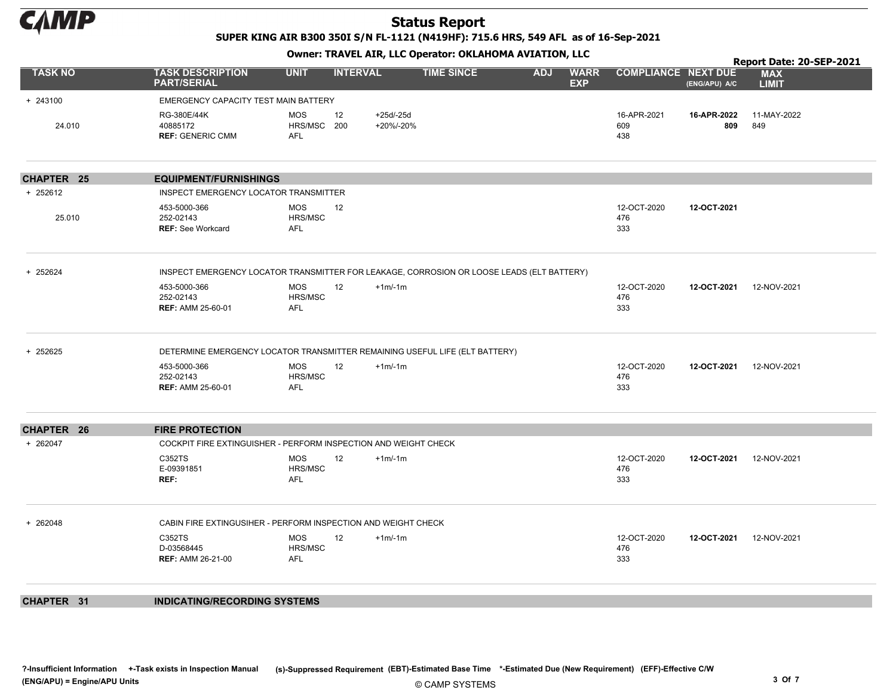

SUPER KING AIR B300 350I S/N FL-1121 (N419HF): 715.6 HRS, 549 AFL as of 16-Sep-2021

Owner: TRAVEL AIR, LLC Operator: OKLAHOMA AVIATION, LLC

|                   |                                                                                           |                                               |                         |                   |            |                           |                            |                    | Report Date: 20-SEP-2021   |  |  |  |
|-------------------|-------------------------------------------------------------------------------------------|-----------------------------------------------|-------------------------|-------------------|------------|---------------------------|----------------------------|--------------------|----------------------------|--|--|--|
| <b>TASK NO</b>    | <b>TASK DESCRIPTION</b><br><b>PART/SERIAL</b>                                             | <b>UNIT</b>                                   | <b>INTERVAL</b>         | <b>TIME SINCE</b> | <b>ADJ</b> | <b>WARR</b><br><b>EXP</b> | <b>COMPLIANCE NEXT DUE</b> | (ENG/APU) A/C      | <b>MAX</b><br><b>LIMIT</b> |  |  |  |
| + 243100          | EMERGENCY CAPACITY TEST MAIN BATTERY                                                      |                                               |                         |                   |            |                           |                            |                    |                            |  |  |  |
| 24.010            | RG-380E/44K<br>40885172<br><b>REF: GENERIC CMM</b>                                        | <b>MOS</b><br>12<br>HRS/MSC 200<br><b>AFL</b> | $+25d/25d$<br>+20%/-20% |                   |            |                           | 16-APR-2021<br>609<br>438  | 16-APR-2022<br>809 | 11-MAY-2022<br>849         |  |  |  |
| <b>CHAPTER 25</b> | <b>EQUIPMENT/FURNISHINGS</b>                                                              |                                               |                         |                   |            |                           |                            |                    |                            |  |  |  |
| + 252612          | INSPECT EMERGENCY LOCATOR TRANSMITTER                                                     |                                               |                         |                   |            |                           |                            |                    |                            |  |  |  |
| 25.010            | 453-5000-366<br>252-02143<br><b>REF: See Workcard</b>                                     | <b>MOS</b><br>12<br>HRS/MSC<br><b>AFL</b>     |                         |                   |            |                           | 12-OCT-2020<br>476<br>333  | 12-OCT-2021        |                            |  |  |  |
| + 252624          | INSPECT EMERGENCY LOCATOR TRANSMITTER FOR LEAKAGE, CORROSION OR LOOSE LEADS (ELT BATTERY) |                                               |                         |                   |            |                           |                            |                    |                            |  |  |  |
|                   | 453-5000-366<br>252-02143<br><b>REF: AMM 25-60-01</b>                                     | MOS<br>12<br>HRS/MSC<br><b>AFL</b>            | $+1m/-1m$               |                   |            |                           | 12-OCT-2020<br>476<br>333  | 12-OCT-2021        | 12-NOV-2021                |  |  |  |
| + 252625          | DETERMINE EMERGENCY LOCATOR TRANSMITTER REMAINING USEFUL LIFE (ELT BATTERY)               |                                               |                         |                   |            |                           |                            |                    |                            |  |  |  |
|                   | 453-5000-366<br>252-02143<br><b>REF: AMM 25-60-01</b>                                     | <b>MOS</b><br>12<br>HRS/MSC<br><b>AFL</b>     | $+1m/-1m$               |                   |            |                           | 12-OCT-2020<br>476<br>333  | 12-OCT-2021        | 12-NOV-2021                |  |  |  |
| <b>CHAPTER 26</b> | <b>FIRE PROTECTION</b>                                                                    |                                               |                         |                   |            |                           |                            |                    |                            |  |  |  |
| + 262047          | COCKPIT FIRE EXTINGUISHER - PERFORM INSPECTION AND WEIGHT CHECK                           |                                               |                         |                   |            |                           |                            |                    |                            |  |  |  |
|                   | C352TS<br>E-09391851<br>REF:                                                              | <b>MOS</b><br>12<br>HRS/MSC<br><b>AFL</b>     | $+1m/1m$                |                   |            |                           | 12-OCT-2020<br>476<br>333  | 12-OCT-2021        | 12-NOV-2021                |  |  |  |
| + 262048          | CABIN FIRE EXTINGUSIHER - PERFORM INSPECTION AND WEIGHT CHECK                             |                                               |                         |                   |            |                           |                            |                    |                            |  |  |  |
|                   | C352TS<br>D-03568445<br><b>REF: AMM 26-21-00</b>                                          | 12<br><b>MOS</b><br>HRS/MSC<br><b>AFL</b>     | $+1m/1m$                |                   |            |                           | 12-OCT-2020<br>476<br>333  | 12-OCT-2021        | 12-NOV-2021                |  |  |  |
|                   |                                                                                           |                                               |                         |                   |            |                           |                            |                    |                            |  |  |  |

CHAPTER 31 INDICATING/RECORDING SYSTEMS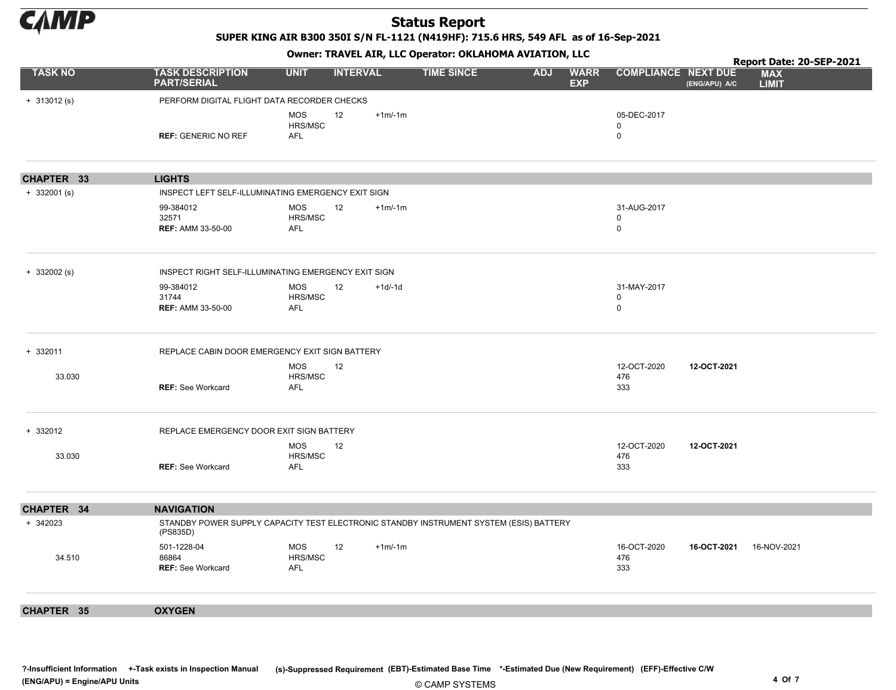

SUPER KING AIR B300 350I S/N FL-1121 (N419HF): 715.6 HRS, 549 AFL as of 16-Sep-2021

Owner: TRAVEL AIR, LLC Operator: OKLAHOMA AVIATION, LLC

|                |                                                                                                    |                       |                 |          |                   |                        |                            |               | Report Date: 20-SEP-2021   |
|----------------|----------------------------------------------------------------------------------------------------|-----------------------|-----------------|----------|-------------------|------------------------|----------------------------|---------------|----------------------------|
| <b>TASK NO</b> | <b>TASK DESCRIPTION</b><br><b>PART/SERIAL</b>                                                      | <b>UNIT</b>           | <b>INTERVAL</b> |          | <b>TIME SINCE</b> | ADJ WARR<br><b>EXP</b> | <b>COMPLIANCE NEXT DUE</b> | (ENG/APU) A/C | <b>MAX</b><br><b>LIMIT</b> |
| $+ 313012(s)$  | PERFORM DIGITAL FLIGHT DATA RECORDER CHECKS                                                        |                       |                 |          |                   |                        |                            |               |                            |
|                |                                                                                                    | <b>MOS</b>            | 12              | $+1m/1m$ |                   |                        | 05-DEC-2017                |               |                            |
|                | <b>REF: GENERIC NO REF</b>                                                                         | HRS/MSC<br><b>AFL</b> |                 |          |                   |                        | 0<br>$\mathsf 0$           |               |                            |
|                |                                                                                                    |                       |                 |          |                   |                        |                            |               |                            |
| CHAPTER 33     | <b>LIGHTS</b>                                                                                      |                       |                 |          |                   |                        |                            |               |                            |
| $+332001$ (s)  | INSPECT LEFT SELF-ILLUMINATING EMERGENCY EXIT SIGN                                                 |                       |                 |          |                   |                        |                            |               |                            |
|                | 99-384012                                                                                          | MOS                   | 12              | $+1m/1m$ |                   |                        | 31-AUG-2017                |               |                            |
|                | 32571<br><b>REF: AMM 33-50-00</b>                                                                  | HRS/MSC<br><b>AFL</b> |                 |          |                   |                        | 0<br>$\mathsf 0$           |               |                            |
|                |                                                                                                    |                       |                 |          |                   |                        |                            |               |                            |
| $+ 332002$ (s) | INSPECT RIGHT SELF-ILLUMINATING EMERGENCY EXIT SIGN                                                |                       |                 |          |                   |                        |                            |               |                            |
|                | 99-384012                                                                                          | <b>MOS</b>            | 12              | $+1d-1d$ |                   |                        | 31-MAY-2017                |               |                            |
|                | 31744<br><b>REF: AMM 33-50-00</b>                                                                  | HRS/MSC<br><b>AFL</b> |                 |          |                   |                        | $\mathbf 0$<br>$\pmb{0}$   |               |                            |
|                |                                                                                                    |                       |                 |          |                   |                        |                            |               |                            |
| + 332011       | REPLACE CABIN DOOR EMERGENCY EXIT SIGN BATTERY                                                     |                       |                 |          |                   |                        |                            |               |                            |
|                |                                                                                                    | <b>MOS</b>            | 12              |          |                   |                        | 12-OCT-2020                | 12-OCT-2021   |                            |
| 33.030         | <b>REF: See Workcard</b>                                                                           | HRS/MSC<br>AFL        |                 |          |                   |                        | 476<br>333                 |               |                            |
|                |                                                                                                    |                       |                 |          |                   |                        |                            |               |                            |
| + 332012       | REPLACE EMERGENCY DOOR EXIT SIGN BATTERY                                                           |                       |                 |          |                   |                        |                            |               |                            |
|                |                                                                                                    | MOS                   | 12              |          |                   |                        | 12-OCT-2020                | 12-OCT-2021   |                            |
| 33.030         | <b>REF: See Workcard</b>                                                                           | HRS/MSC<br>AFL        |                 |          |                   |                        | 476<br>333                 |               |                            |
|                |                                                                                                    |                       |                 |          |                   |                        |                            |               |                            |
| CHAPTER 34     | <b>NAVIGATION</b>                                                                                  |                       |                 |          |                   |                        |                            |               |                            |
| + 342023       | STANDBY POWER SUPPLY CAPACITY TEST ELECTRONIC STANDBY INSTRUMENT SYSTEM (ESIS) BATTERY<br>(PS835D) |                       |                 |          |                   |                        |                            |               |                            |
|                | 501-1228-04                                                                                        | <b>MOS</b>            | 12              | $+1m/1m$ |                   |                        | 16-OCT-2020                | 16-OCT-2021   | 16-NOV-2021                |
| 34.510         | 86864<br><b>REF: See Workcard</b>                                                                  | HRS/MSC<br><b>AFL</b> |                 |          |                   |                        | 476<br>333                 |               |                            |
|                |                                                                                                    |                       |                 |          |                   |                        |                            |               |                            |
| CHAPTER 35     | <b>OXYGEN</b>                                                                                      |                       |                 |          |                   |                        |                            |               |                            |
|                |                                                                                                    |                       |                 |          |                   |                        |                            |               |                            |

© CAMP SYSTEMS ?-Insufficient Information +-Task exists in Inspection Manual (s)-Suppressed Requirement (EBT)-Estimated Base Time \*-Estimated Due (New Requirement) (EFF)-Effective C/W (ENG/APU) = Engine/APU Units 4 Of 7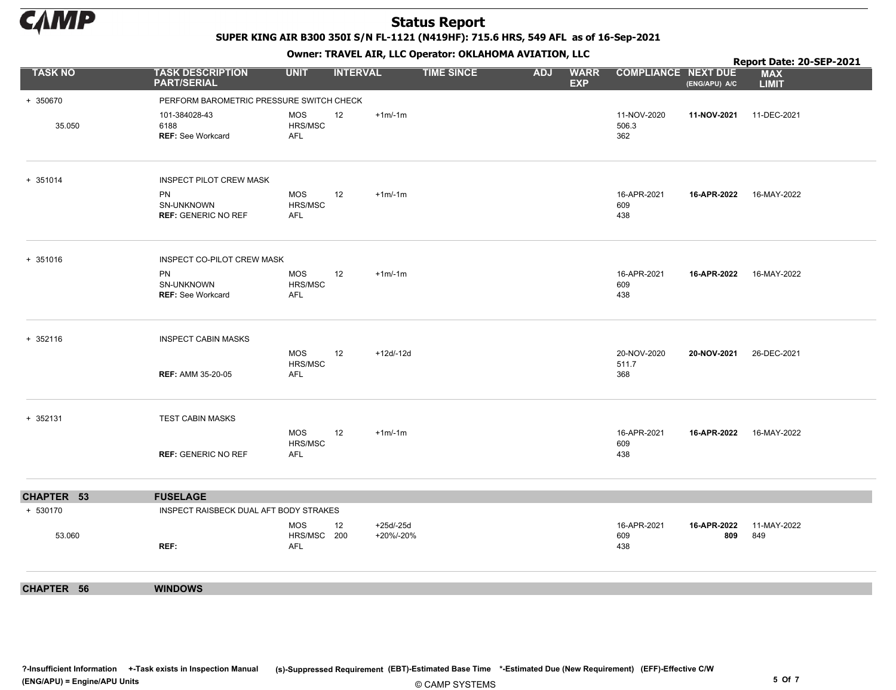

SUPER KING AIR B300 350I S/N FL-1121 (N419HF): 715.6 HRS, 549 AFL as of 16-Sep-2021

Owner: TRAVEL AIR, LLC Operator: OKLAHOMA AVIATION, LLC

|                |                                                   |                                         |                 |                         |                   |            | . .                       |                             |                         | Report Date: 20-SEP-2021   |
|----------------|---------------------------------------------------|-----------------------------------------|-----------------|-------------------------|-------------------|------------|---------------------------|-----------------------------|-------------------------|----------------------------|
| <b>TASK NO</b> | <b>TASK DESCRIPTION</b><br><b>PART/SERIAL</b>     | <b>UNIT</b>                             | <b>INTERVAL</b> |                         | <b>TIME SINCE</b> | <b>ADJ</b> | <b>WARR</b><br><b>EXP</b> | <b>COMPLIANCE NEXT DUE</b>  | (ENG/APU) A/C           | <b>MAX</b><br><b>LIMIT</b> |
| + 350670       | PERFORM BAROMETRIC PRESSURE SWITCH CHECK          |                                         |                 |                         |                   |            |                           |                             |                         |                            |
| 35.050         | 101-384028-43<br>6188<br><b>REF: See Workcard</b> | MOS<br>HRS/MSC<br>AFL                   | 12              | $+1m/1m$                |                   |            |                           | 11-NOV-2020<br>506.3<br>362 | 11-NOV-2021 11-DEC-2021 |                            |
| + 351014       | <b>INSPECT PILOT CREW MASK</b>                    |                                         |                 |                         |                   |            |                           |                             |                         |                            |
|                | PN<br>SN-UNKNOWN<br><b>REF: GENERIC NO REF</b>    | MOS<br>HRS/MSC<br>AFL                   | 12              | $+1m/1m$                |                   |            |                           | 16-APR-2021<br>609<br>438   | 16-APR-2022             | 16-MAY-2022                |
| + 351016       | INSPECT CO-PILOT CREW MASK                        |                                         |                 |                         |                   |            |                           |                             |                         |                            |
|                | PN<br>SN-UNKNOWN<br><b>REF: See Workcard</b>      | MOS<br>HRS/MSC<br><b>AFL</b>            | 12              | $+1m/1m$                |                   |            |                           | 16-APR-2021<br>609<br>438   | 16-APR-2022 16-MAY-2022 |                            |
| + 352116       | <b>INSPECT CABIN MASKS</b>                        |                                         |                 |                         |                   |            |                           |                             |                         |                            |
|                | <b>REF: AMM 35-20-05</b>                          | MOS<br>HRS/MSC<br>AFL                   | 12              | $+12d/12d$              |                   |            |                           | 20-NOV-2020<br>511.7<br>368 | 20-NOV-2021             | 26-DEC-2021                |
| + 352131       | <b>TEST CABIN MASKS</b>                           |                                         |                 |                         |                   |            |                           |                             |                         |                            |
|                | <b>REF: GENERIC NO REF</b>                        | MOS<br>HRS/MSC<br><b>AFL</b>            | 12              | $+1m/1m$                |                   |            |                           | 16-APR-2021<br>609<br>438   | 16-APR-2022 16-MAY-2022 |                            |
| CHAPTER 53     | <b>FUSELAGE</b>                                   |                                         |                 |                         |                   |            |                           |                             |                         |                            |
| + 530170       | INSPECT RAISBECK DUAL AFT BODY STRAKES            |                                         |                 |                         |                   |            |                           |                             |                         |                            |
| 53.060         | REF:                                              | <b>MOS</b><br>HRS/MSC 200<br><b>AFL</b> | 12              | $+25d/25d$<br>+20%/-20% |                   |            |                           | 16-APR-2021<br>609<br>438   | 16-APR-2022<br>809      | 11-MAY-2022<br>849         |
| CHAPTER 56     | <b>WINDOWS</b>                                    |                                         |                 |                         |                   |            |                           |                             |                         |                            |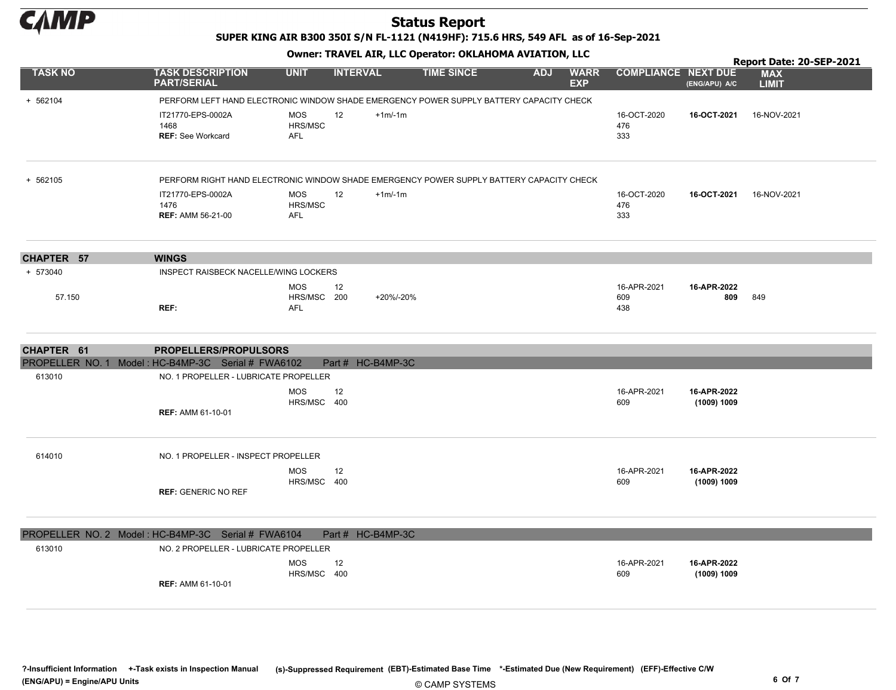

SUPER KING AIR B300 350I S/N FL-1121 (N419HF): 715.6 HRS, 549 AFL as of 16-Sep-2021

Owner: TRAVEL AIR, LLC Operator: OKLAHOMA AVIATION, LLC

|                |                                                                                          |                                         |                 |                   |                   |            |                           |                            |                            | Report Date: 20-SEP-2021   |
|----------------|------------------------------------------------------------------------------------------|-----------------------------------------|-----------------|-------------------|-------------------|------------|---------------------------|----------------------------|----------------------------|----------------------------|
| <b>TASK NO</b> | <b>TASK DESCRIPTION</b><br><b>PART/SERIAL</b>                                            | <b>UNIT</b>                             | <b>INTERVAL</b> |                   | <b>TIME SINCE</b> | <b>ADJ</b> | <b>WARR</b><br><b>EXP</b> | <b>COMPLIANCE NEXT DUE</b> | (ENG/APU) A/C              | <b>MAX</b><br><b>LIMIT</b> |
| + 562104       | PERFORM LEFT HAND ELECTRONIC WINDOW SHADE EMERGENCY POWER SUPPLY BATTERY CAPACITY CHECK  |                                         |                 |                   |                   |            |                           |                            |                            |                            |
|                | IT21770-EPS-0002A<br>1468<br><b>REF: See Workcard</b>                                    | MOS<br>HRS/MSC<br><b>AFL</b>            | 12              | $+1m/1m$          |                   |            |                           | 16-OCT-2020<br>476<br>333  | 16-OCT-2021                | 16-NOV-2021                |
| + 562105       | PERFORM RIGHT HAND ELECTRONIC WINDOW SHADE EMERGENCY POWER SUPPLY BATTERY CAPACITY CHECK |                                         |                 |                   |                   |            |                           |                            |                            |                            |
|                | IT21770-EPS-0002A<br>1476<br><b>REF: AMM 56-21-00</b>                                    | MOS<br>HRS/MSC<br>AFL                   | 12              | $+1m/1m$          |                   |            |                           | 16-OCT-2020<br>476<br>333  | 16-OCT-2021                | 16-NOV-2021                |
| CHAPTER 57     | <b>WINGS</b>                                                                             |                                         |                 |                   |                   |            |                           |                            |                            |                            |
| + 573040       | INSPECT RAISBECK NACELLE/WING LOCKERS                                                    |                                         |                 |                   |                   |            |                           |                            |                            |                            |
| 57.150         | REF:                                                                                     | <b>MOS</b><br>HRS/MSC 200<br><b>AFL</b> | 12              | +20%/-20%         |                   |            |                           | 16-APR-2021<br>609<br>438  | 16-APR-2022<br>809         | 849                        |
| CHAPTER 61     | <b>PROPELLERS/PROPULSORS</b>                                                             |                                         |                 |                   |                   |            |                           |                            |                            |                            |
|                | PROPELLER NO. 1 Model: HC-B4MP-3C Serial # FWA6102                                       |                                         |                 | Part # HC-B4MP-3C |                   |            |                           |                            |                            |                            |
| 613010         | NO. 1 PROPELLER - LUBRICATE PROPELLER                                                    |                                         |                 |                   |                   |            |                           |                            |                            |                            |
|                | <b>REF: AMM 61-10-01</b>                                                                 | <b>MOS</b><br>HRS/MSC 400               | 12              |                   |                   |            |                           | 16-APR-2021<br>609         | 16-APR-2022<br>(1009) 1009 |                            |
| 614010         | NO. 1 PROPELLER - INSPECT PROPELLER                                                      |                                         |                 |                   |                   |            |                           |                            |                            |                            |
|                | <b>REF: GENERIC NO REF</b>                                                               | <b>MOS</b><br>HRS/MSC 400               | 12              |                   |                   |            |                           | 16-APR-2021<br>609         | 16-APR-2022<br>(1009) 1009 |                            |
|                | PROPELLER NO. 2 Model: HC-B4MP-3C Serial # FWA6104                                       |                                         |                 | Part # HC-B4MP-3C |                   |            |                           |                            |                            |                            |
| 613010         | NO. 2 PROPELLER - LUBRICATE PROPELLER                                                    |                                         |                 |                   |                   |            |                           |                            |                            |                            |
|                | <b>REF: AMM 61-10-01</b>                                                                 | <b>MOS</b><br>HRS/MSC 400               | 12              |                   |                   |            |                           | 16-APR-2021<br>609         | 16-APR-2022<br>(1009) 1009 |                            |

© CAMP SYSTEMS ?-Insufficient Information +-Task exists in Inspection Manual (s)-Suppressed Requirement (EBT)-Estimated Base Time \*-Estimated Due (New Requirement) (EFF)-Effective C/W (ENG/APU) = Engine/APU Units 6 Of 7